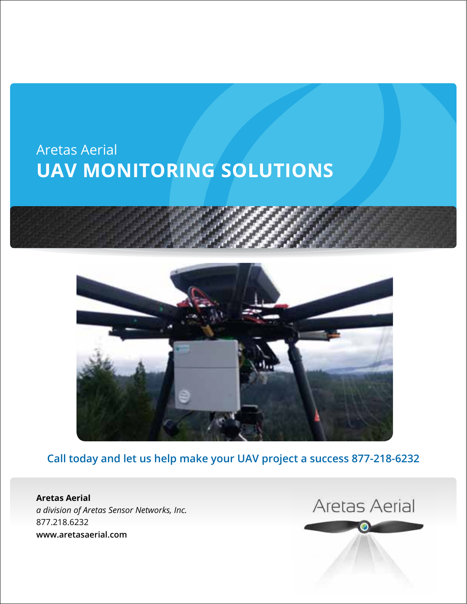# Aretas Aerial **UAV Monitoring Solutions**





**Call today and let us help make your UAV project a success 877-218-6232**

 $M_{\rm H}$  Class Action Aretas Sensor Networks, Inc. *a division of Aretas Sensor Networks, Inc.* **www.areto.o**z.com **Aretas Aerial** 877.218.6232 **www.aretasaerial.com**

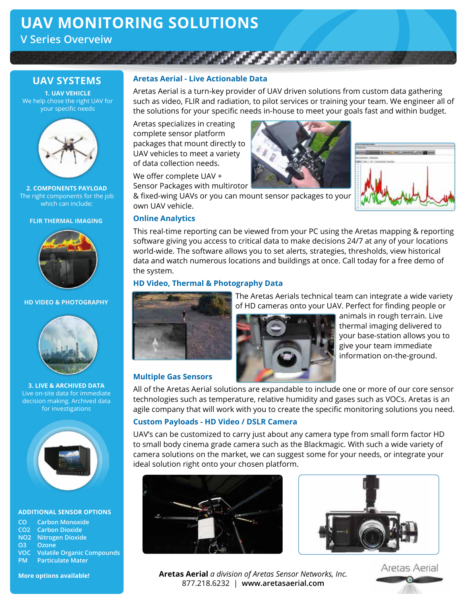# **UAV Monitoring Solutions**

**V Series Overveiw**

## **UAV Systems**

**1. UAV Vehicle** We help chose the right UAV for your specific needs



**2. Components Payload** The right components for the job which can include:

### **FLIR THERMAL IMAGING**



### **HD VIDEO & PHOTOGRAPHY**



**3. Live & Archived Data** Live on-site data for immediate decision making. Archived data for investigations



#### **Additional Sensor Options**

| <b>CO</b> Carbon Monoxide             |
|---------------------------------------|
| <b>CO2</b> Carbon Dioxide             |
| <b>NO2</b> Nitrogen Dioxide           |
| O <sub>3</sub> Ozone                  |
| <b>VOC</b> Volatile Organic Compounds |
| <b>PM</b> Particulate Mater           |

### **Aretas Aerial - Live Actionable Data**

Aretas Aerial is a turn-key provider of UAV driven solutions from custom data gathering such as video, FLIR and radiation, to pilot services or training your team. We engineer all of the solutions for your specific needs in-house to meet your goals fast and within budget.

Aretas specializes in creating complete sensor platform packages that mount directly to UAV vehicles to meet a variety of data collection needs.

We offer complete UAV + Sensor Packages with multirotor





& fixed-wing UAVs or you can mount sensor packages to your own UAV vehicle.

### **Online Analytics**

This real-time reporting can be viewed from your PC using the Aretas mapping & reporting software giving you access to critical data to make decisions 24/7 at any of your locations world-wide. The software allows you to set alerts, strategies, thresholds, view historical data and watch numerous locations and buildings at once. Call today for a free demo of the system.

### **HD Video, Thermal & Photography Data**



 The Aretas Aerials technical team can integrate a wide variety of HD cameras onto your UAV. Perfect for finding people or



 animals in rough terrain. Live thermal imaging delivered to your base-station allows you to give your team immediate information on-the-ground.

### **Multiple Gas Sensors**

All of the Aretas Aerial solutions are expandable to include one or more of our core sensor technologies such as temperature, relative humidity and gases such as VOCs. Aretas is an agile company that will work with you to create the specific monitoring solutions you need.

### **Custom Payloads - HD Video / DSLR Camera**

UAV's can be customized to carry just about any camera type from small form factor HD to small body cinema grade camera such as the Blackmagic. With such a wide variety of camera solutions on the market, we can suggest some for your needs, or integrate your ideal solution right onto your chosen platform.





**Aretas Aerial** *a division of Aretas Sensor Networks, Inc.* 877.218.6232 | **www.aretasaerial.com**



**More options available!**